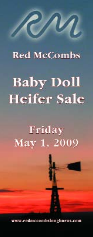### **Red McCombs**

N

# **Baby Doll Heifer Sale**

## Friday May 1, 2009

www.redmccombslonghorns.com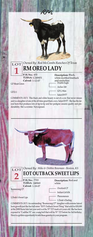

COMMENTS: OCV. This black and white beauty is out of a cow that never misses and is a daughter of one of the all-time great black cows, Safari B 977. She has the lateral horn that produces lots of tip-to-tip and her pedigree assures quality and predictability. She's a winner. Not exposed.





LOT *Owned By: Mike & Debbie Bowman - Benton, KS* **EOT OUTBACK SWEET LIPS**

**P. H. No.: TLBAA:** 248969 white **Calved:** 1-18-07

Boomerang CP

L Dode's Sweet Lips

**Description:** Red and white

- Overlord CP
- Indian Girl 636
	- Phenomenon
	- L Dode's Darling

COMMENTS: OCV. An outstanding "Boomerang CP" daughter with extreme lateral horn growth just like her full sister "EOT Outback Sweet Thing" that sold for \$30,000 at the 2008 Fiesta Sale last year and is at the 70" T2T mark at 6 years old. She has been exposed to "Cadillac 55" our young bull that will be 70" T2T before his 3rd birthday. Here is a golden opportunity to add these genetics to your program.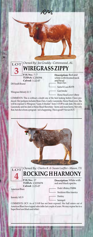| Owned By: Joe Graddy - Cottonwood, AL<br>LOT<br><b>WIREGRASS ZIPPY</b>                                                                                                                                                                                                                                                                                                                                                                           |                                                                                                 |
|--------------------------------------------------------------------------------------------------------------------------------------------------------------------------------------------------------------------------------------------------------------------------------------------------------------------------------------------------------------------------------------------------------------------------------------------------|-------------------------------------------------------------------------------------------------|
| P.H. No.: 7/7<br><b>TLBAA</b> : C250394<br>Calved: 1-22-07<br>DH South Bound                                                                                                                                                                                                                                                                                                                                                                     | Description: Red and<br>white with frosted neck<br>and head<br>Beau Chex<br>Santa Fe Lass BL978 |
| Wiregrass Melody 22/3<br>COMMENTS: This is without a doubt one of the best looking heifers I have pro-<br>duced. Her pedigree includes Beau Chex, Coach, Gunsmoke, Horse Head cows. She<br>will be exposed to Wiregrass "Guns A Smokin" from 3-15-09 to sale date. His sire is<br>Gunsmoke and his dam is Horse Head Showtime - horns and more horns. Not only<br>that, but she is from a program - not a happening. This is good!!! Not an OCV. | Gun Smoke<br>Horse Head Lover's Brew                                                            |





LOT *Owned By: Charles R. & Susan Loeffler - Mason, TX* **ROCKING H HARMONY**

> **P. H. No.: TLBAA: Calved:** 2-25-07

American Blues

Serenity 145/9

Description: White with red and black specks.

Dode's Bluboy FM884

- Destiny

- Stocktons Miss America
- Serengeti

COMMENTS: OCV. As of 2-5-09 has not been exposed. Her half sisters out of American Blues have topped sales inthe last couple of years. We may expose her to a Super Bowl son (black and white).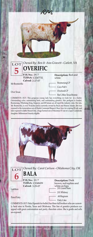|                                          | m                                         |
|------------------------------------------|-------------------------------------------|
|                                          |                                           |
| $\frac{1}{5}$<br><b>OVERIFIC</b>         | Owned By: Ben & Ann Gravett - Catlett, VA |
| P.H. No.: 29/7<br><b>TLBAA: CI247732</b> | Description: Red and<br>white             |
| Calved: 2-27-07<br>Mr Boomerific         | Boomerang CP                              |
|                                          | Coco Puff <sub>1</sub>                    |
| Over Texas                               | Overlord CP                               |
|                                          | Bar L Miss Texas Bonnie                   |

COMMENTS: OCV. This gorgeous young lady has everything we look for in a heifer. Outstanding color, outstanding horn, and outstanding genetics. Her pedigree is loaded, Boomerang, Whelming King, Emperor, and JR Seman are all topof the industry sires. Her sire, Mr. Boomerific, is over 70 inches and is currently owned by Buck and Sharon Adams. She was exposed to the tremendous son of Hunts Command Respect, Buzz Saw, for a spring 09 calf, and later exposed to J&Rs Maxed Out, a huge horned son of Maximus ST out of a super Gunsmoke daughter. Millennium Futurity eligible.





LOT *Owned By: Carol Carlson - Oklahoma City, OK* **BALA**



**TLBAA: Calved:**

#### Gatillero

Pistol Patty

**Description:** Dark brown, red topline and 3-29-07 white on hips J.R. Grand Slam J.R. Whitney - .44 Magnum - Patty Cake

COMMENTS: OCV. Bala (Spanish for bullet) has three full brothers who are currently herd sires in Florida, Texas and Oklahoma. This line of genetics produces eye appeal with great conformation and pretty chocolate colors. She is gentle and sells un-exposed.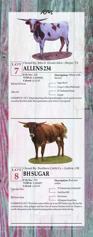| $\overline{\mathrm{LOT}}$ Owned By: John & Ursula Allen - Harper, TX<br><b>ALLENS 234</b>                                                          |                                   |
|----------------------------------------------------------------------------------------------------------------------------------------------------|-----------------------------------|
| P.H. No.: 234<br><b>TLBAA: CI249686</b><br>Calved: 4-21-07                                                                                         | Description: White with<br>brown. |
| RM Son Of A Gun                                                                                                                                    | Super Bowl                        |
|                                                                                                                                                    | Cooper's Miss Whirlwind           |
| Allen 102                                                                                                                                          | LP Turbulent Winds<br>Limpie      |
| COMMENTS: OCV. A big bodied Super Bowl granddaughter out of a great cow now<br>owned by Red McCombs. She is gonna have a ton of horn. Not exposed. |                                   |
|                                                                                                                                                    |                                   |
|                                                                                                                                                    |                                   |
|                                                                                                                                                    |                                   |
|                                                                                                                                                    |                                   |
|                                                                                                                                                    |                                   |
|                                                                                                                                                    |                                   |



**8 P. H. No.: TLBAA:** C249497 white

**Calved:** 4-23-07

**Description:** Red and white

Dark Star Chex

BH Sweet Anna

VJ Tommie (aka Unlimited) Dark Star B R3

- Not Gunna

- AJ Jumpers Sweet Kiss

COMMENTS: OCV. This heifer comes off the top of our 2007 heifer crop. She has the conformation, color, pedigree and horn that all serious breeders look for. Picture is worth a thousand words. Exposed and pregnancy status provided sale day.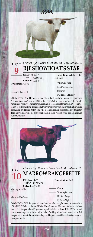

COMMENTS: OCV. Her dam is one of our best producing cows. Her grandma "Lamb's Showtime" sold for 30K+ at the Legacy Sale 2 years ago as an older cow. In her lineage you have Phenomenon, Bold Ruler, Headliner, Starlight, and VJ Tommie. It hurt to sell something this good but we want to show you the type of cattle we are producing. Bred to San Anton Texa who is a Roundup son out of a Shadow daughter. This calf will have horn, conformation and color. All offspring are Millennium Futurity eligible.





#### LOT *Owned By: Marquess Arrow Ranch - Ben Wheeler, TX* **M ARROW RANGERETTE**

**P. H. No.: TLBAA:** CI248679 **Calved:** 4-26-07

### 4/7 **Description:** Red

Working Man Chex

M Arrow Hoe Down

Coach Working Woman

- DH Red Ranger

- EJ Easter Night

COMMENTS: OCV. Rangerette's grandmother - Working Woman just entered the official 80" T2T club at the last TLBAA Horn Showcase. Her grandfather on the bottom is DH Ranger who at 7 years of age already has at least 4 70" T2T sons and numerous daughters with beautiful twist. Working Man Chex crossed with Red Ranger has proven to be an outstanding herd improvement blend. Don't miss out on this opportunity!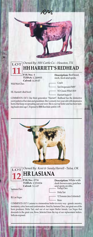

HL Harriett's Red Swirl

YO Classic Whirl 1819

Harriett Super D

COMMENTS: OCV. Our third generation "Harriett", Redhead has the distinctive swirl pattern of her dam and granddam. She's a sturdy two-year-old with impressive horns that keep on spreading east and west. She is our top heifer and has been turning heads since age 1. Exposed to BBR Rawhide until 4-1-09.





#### *Owned By: Kent & Sandy Harrell - Tulsa, OK* **HR LASIANA**

**P. H. No.: TLBAA: Calved:**

Santana Chex

BL Las Vegas

Description: White with dark brown ears, patches 5-1-07 and spots on ribs. Farlap Chex Delta Tari VJ Tommie (aka Unlimited) Reno

COMMENTS: OCV. Lasiana is a tremendous heifer in every way - genetic ancestry, femininity, color, horn and conformation. Sired by Santana Chex, our great son of the horn producer, Delta Tari, and out of our super Butler female, Las Vegas that descends to the great cow, Reno. Selected from the top of our replacement heifers. Sells un-exposed.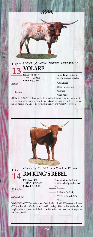|                                                          | И.                                                                                                                   |
|----------------------------------------------------------|----------------------------------------------------------------------------------------------------------------------|
|                                                          | Owned By: Stockton Ranches - Cleveland, TX                                                                           |
| P.H. No.: 31/7<br><b>TLBAA: 250105</b><br>Calved: 5-3-07 | Description: Red and<br>white spots and specks<br>Chill Chaser<br>Dode's Mocha Rose<br>Overlord<br><b>Ouest Anna</b> |
|                                                          | LOT Owned By: Stock                                                                                                  |

COMMENTS: OCV. This beautiful heifer is for the descriminating longhorn breeder. She has tremendous horn, color, pedigree and conformation. She will surely mature into a top dollar cow. One of the best heifers we have ever raised! Not exposed.



COMMENTS: OCV. This heifer is out of a top Butler bull with 70" genetics and out of a YO cow that is RM Whirlwind and McGill breeding. This cow has produced four daughters that are in our herd. We like to offer heifers that come from strong families. Not exposed.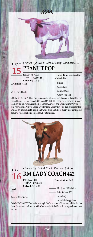

WPR Peanut Brittle

- Nitrous Oxide Cherry Pop Tart

COMMENTS: OCV. How can you describe a beauty like this young lady? She has perfect horns that are projected to push 80" T2T. Her pedigree is packed - Sensor's Flash on the top, which goes back to Sensor, Zhivago and Overwhelmer. On the bottom you will find Nitrous Oxide, Overlord and Cherry Pop (the dam of Boomeriffic). She has an unusual gold, grulla and white color and she is puppy-dog gentle. This beauty is what longhorns are all about. Not exposed.





Redmac Miss Butler

Coach

#### LOT *Owned By: Red McCombs Ranches Of Texas* **RM LADY COACH 442**

**P. H. No.: TLBAA:** C240467 **Calved:** 5-16-07

#### 442 **Description:** Red

- Don Juan Of Christine
	- Miss Redmac 256
		- Ace's Brujo
- Ace's Mississippi Mud

COMMENTS: OCV. This heifer is straight Butler and out of the immortal Coach. Her dam always worked for us with Coach and this heifer will be a good one. Not exposed.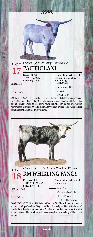

Pacific Frannie

Night Safari BL833 - Pontiac

Evening Star 96

COMMENTS: OCV. This young heifer shows off what my Lakota Chex is producing for me. She was 44 1/2" TTT at 20 months and she should be comfortably 50" by her second birthday. She is exposed to my young Iron Mike son, Texas Scout. Current horn measurements and breeding information will be provided sale day. She and her offspring are Millennium Futurity eligible.





*Owned By: Red McCombs Ranches Of Texas* **RM WHIRLING FANCY**

**P. H. No.: TLBAA: Calved:** 5-21-07

RM Super Whirl

JW Hot N Fancy

450 **Description:** White with black spots.

Super Bowl

Cooper's Miss Whirlwind

Hot Shot Vision

Bar K's Golden Sunrise

COMMENTS: OCV. Wow! This heifer will stop traffic. She is drop dead gorgeous and has both Super Bowl and Diego's Hot Shot in her pedigree. Her sire is a beautiful brindle Super Bowl son we sold to the Divinia's and his dam has the most twist of any cow we own. Her dam is a spectacular cow we bought from Jerry Williams. Not exposed.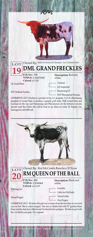

EOT Outback Freckles

EOT Phenomenal Precious

COMMENTS: OCV. Freckles is a product of my A.I. program. I A.I.'d a Boomerang daughter to Grand Slam to produce a genetic gold mine. With Grand Slam and Gunman on the top and Boomerang and Phenomenon on the bottom everyone should want this heifer. She will be bred to my black an white VJ Tommie son, Saratoga for a fall 2009 calf.





LOT *Owned By: Red McCombs Ranches Of Texas* **RM QUEEN OF THE BALL**

> **P. H. No.: TLBAA:** CI249464 white. **Calved:** 6-11-07

RM King Leo

Virtual Pepper

**Description:** Black and<br>white.

- Leonidas
- Little Ace Pali Emily
	- Virtual Lobby
		- Over Pepper

COMMENTS: OCV. We knew this girl was a winner from the first time we ever laid eyes on her! She is a show stopper. Her sire is a Butler bull with 70" genetics three times and her dam has Lobbyist and Overhead in her pedigree. We hate to part with her. Let this be your gain. Not exposed.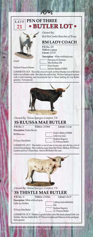#### **PEN OF THREE** LOT **BUTLER LOT . 21**

RM



*Owned By: Red McCombs Ranches of Texas*

**RM LADY COACH**

**P. H. No.:**  435 **TLBAA:**  C249439 **Calved:** 4-27-07

Coach

Nichole Princess Hunter

Don Juan of Christine Miss Redmac 256

- Dixie Hunter
- Nichole Maiden FM853

**Description:** White with black ears

COMMENTS: OCV. This is the cross of Coach on Dixie Hunter, two of the best bulls ever in Butler cattle. Her dam also sells today. We have had great success with Coach breeding and recommend her to those looking for top Butler genetics. Not exposed.



#### *Owned By: Teresa Sparger, Comfort, TX*

#### **3S RUUSSA MAE BUTLER** Calved: 5-13-06

**TLBAA: C253864 Description:** Parker Brown P.H. No.: 8

RM Blue Ace

| Dode's Bluboy FM884       |
|---------------------------|
| – Little Ace Josie        |
| Redmac Regency            |
| <b>TC Princess Butler</b> |

3S Vacey Mae Butler

COMMENTS: OCV. This heifer is out of one of our pets and she has a lot of twist in her pedigree. She combines super lines like Dode's Bluboy, W5 Flower Garden and Ace's Plum Mojo. Bred to BH Butler Shi-zam.



3S Vacey Mae Butler

Ella Redmac Regency TC Princess Butler

COMMENTS: OCV. Thistle is a gentle heifer out of the loud colored Little Ace TexMex. She has Hattie Belle, W5 Flower Garden and Maressa in her pedigree. Not exposed.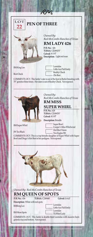

#### **PEN OF THREE**

*Owned By: Red McCombs Ranches of Texas*

#### **RM LADY 426**

**P. H. No.:**  426 **TLBAA:**  CI249474\* **Calved:** 4-1-07 **Description:** Light red roan

RM King Leo

Leonidas Little Ace Pali Emily Reality Check Zhi-Best

Best Check

COMMENTS: OCV. This heifer's sire is out of the best in Butler breeding with 70" genetics three times. Her dam is out of Reality Check. Not exposed.



*Owned By: Red McCombs Ranches of Texas*

#### **RM MISS SUPER WHIRL**

**P. H. No.:**  428 **TLBAA:**  CI249476\* **Calved:** 4-2-07

**Description:** Brindle

RM Super Whirl

JW Too Black

Super Bowl Cooper's Miss Whirlwind Hot Shot Vision Two Eagles 581

COMMENTS: OCV. This is a top brindle daughter of Super Whirl with Super Bowl and Diego's Hot Shot in her pedigree. Not exposed.



*Owned By: Red McCombs Ranches of Texas* **RM QUEEN OF SPOTS**

**FLBAA: C249440** P.H. No.: 436

**Description:** White with red spots RMKing Leo

Calved: 5-9-07

Leonidas Little Ace Pali Emily

RM More Spots

Leonidas

TLB Red Lady

COMMENTS: OCV. This heifer is double-bred Leonidas with massive horn genetics top and bottom. Not exposed.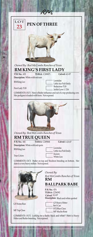

**PAGE 14**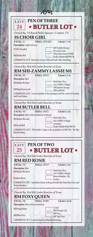| LOT                                            | <b>PEN OF THREE</b>                                                                              |
|------------------------------------------------|--------------------------------------------------------------------------------------------------|
| 24                                             | • BUTLER LOT •                                                                                   |
|                                                |                                                                                                  |
|                                                | Owned By: 3S Ranch/Billie Sparger - Comfort, TX                                                  |
| <b>3S CHOIR GIRL</b>                           |                                                                                                  |
| P.H. No.: 13                                   | <b>TLBAA: APPLIED</b><br>Calved: 7-1-08                                                          |
| Description: Light red roan<br>3S The Preacher | MF Double Droopy                                                                                 |
|                                                | VJ Curly's Girl<br>Cheyenne Graves FM44                                                          |
| RM Butler Bell                                 | Dode's Butler Bell BW 54                                                                         |
|                                                | COMMENTS: OCV. Monarch, Graves 102 and Dode's Boy breeding.                                      |
|                                                | Owned By: Red McCombs Ranches of Texas                                                           |
|                                                | RM SHI-ZAMMY LASSIE 501                                                                          |
| P.H. No.: 501                                  | <b>TLBAA</b> : 250270<br>Calved: 3-7-08                                                          |
| Description: Red                               | Dark Star Chex                                                                                   |
| <b>BH</b> Butler Shi-Zam                       | Ace's Milby's Magic                                                                              |
| RM Big Horns Leah                              | MF Double Droopy<br>- RM Leah Bell                                                               |
| and Coach lines.                               | COMMENTS: OCV. Lots of quality in her pedigree and the cross of Tommie                           |
|                                                |                                                                                                  |
|                                                | Owned By: Red McCombs Ranches of Texas                                                           |
| <b>RM BUTLER BELL</b>                          |                                                                                                  |
| P.H. No.: 503                                  | Calved: 5-2-08<br><b>TLBAA</b> : 250272                                                          |
| Description: Red, white mottled in forehead    | Dark Star Chex                                                                                   |
| <b>BH</b> Butler Shi-zam                       | Ace's Milby's Magic                                                                              |
| RM Leah Bell                                   | Leonidas                                                                                         |
|                                                | Dode's Butler Belle BW 54<br>COMMENTS: OCV. This heifer's dam is the granddam of RM 501. We like |
| this breeding.                                 |                                                                                                  |
|                                                |                                                                                                  |
|                                                | <b>PEN OF TWC</b>                                                                                |
| 25                                             | · BUTLER LOT ·                                                                                   |
|                                                |                                                                                                  |
|                                                | Owned By: Red McCombs Ranches of Texas                                                           |
| <b>RM RED ROSIE</b>                            |                                                                                                  |
| P.H. No.: 510                                  | <b>TLBAA</b> : 250279<br>Calved: 6-3-08                                                          |
| Description: Red<br><b>BH</b> Butler Shi-Zam   | Dark Star Chex                                                                                   |
|                                                | Ace's Milby's Magic                                                                              |
| Redmac Rosie                                   | Brown Bomber 126<br>• Evelyn                                                                     |
|                                                | COMMENTS: OCV. Top Butler blood with great bulls like Dark Star Chex and                         |
| Brown Bomber.                                  |                                                                                                  |
|                                                | Owned By: Red McCombs Ranches of Texas                                                           |
| <b>RM FOXY OUEEN</b>                           |                                                                                                  |
| P.H. No.: 540                                  | <b>TLBAA</b> : 250309<br>Calved: 4-28-08                                                         |
| Description: Red, white in forehead            |                                                                                                  |
| RM King Midas                                  | Coach<br>RM Droopy Gal                                                                           |
| <b>RM</b> Blue Foxy                            | MF Foxy                                                                                          |
|                                                | MF Top Class                                                                                     |
|                                                | COMMENTS: OCV. Coach crossed on Meshell breeding.                                                |